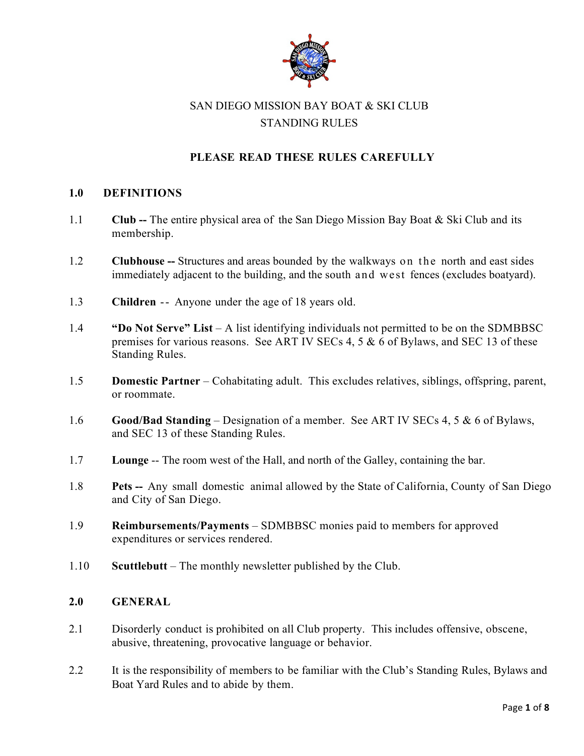

# SAN DIEGO MISSION BAY BOAT & SKI CLUB STANDING RULES

## **PLEASE READ THESE RULES CAREFULLY**

#### **1.0 DEFINITIONS**

- 1.1 **Club --** The entire physical area of the San Diego Mission Bay Boat & Ski Club and its membership.
- 1.2 **Clubhouse --** Structures and areas bounded by the walkways on the north and east sides immediately adjacent to the building, and the south and west fences (excludes boatyard).
- 1.3 **Children** -- Anyone under the age of 18 years old.
- 1.4 **"Do Not Serve" List** A list identifying individuals not permitted to be on the SDMBBSC premises for various reasons. See ART IV SECs 4, 5 & 6 of Bylaws, and SEC 13 of these Standing Rules.
- 1.5 **Domestic Partner** Cohabitating adult. This excludes relatives, siblings, offspring, parent, or roommate.
- 1.6 **Good/Bad Standing** Designation of a member. See ART IV SECs 4, 5 & 6 of Bylaws, and SEC 13 of these Standing Rules.
- 1.7 **Lounge** -- The room west of the Hall, and north of the Galley, containing the bar.
- 1.8 **Pets --** Any small domestic animal allowed by the State of California, County of San Diego and City of San Diego.
- 1.9 **Reimbursements/Payments** SDMBBSC monies paid to members for approved expenditures or services rendered.
- 1.10 **Scuttlebutt** The monthly newsletter published by the Club.

#### **2.0 GENERAL**

- 2.1 Disorderly conduct is prohibited on all Club property. This includes offensive, obscene, abusive, threatening, provocative language or behavior.
- 2.2 It is the responsibility of members to be familiar with the Club's Standing Rules, Bylaws and Boat Yard Rules and to abide by them.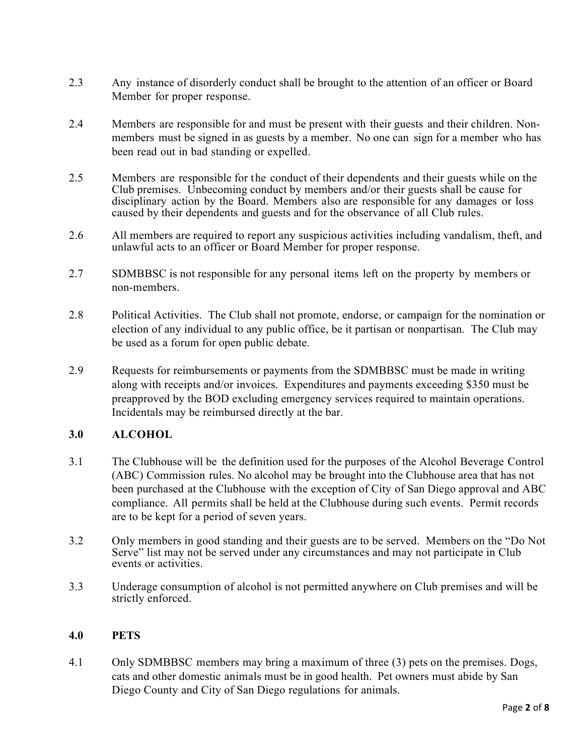- 2.3 Any instance of disorderly conduct shall be brought to the attention of an officer or Board Member for proper response.
- 2.4 Members are responsible for and must be present with their guests and their children. Nonmembers must be signed in as guests by a member. No one can sign for a member who has been read out in bad standing or expelled.
- 2.5 Members are responsible for the conduct of their dependents and their guests while on the Club premises. Unbecoming conduct by members and/or their guests shall be cause for disciplinary action by the Board. Members also are responsible for any damages or loss caused by their dependents and guests and for the observance of all Club rules.
- 2.6 All members are required to report any suspicious activities including vandalism, theft, and unlawful acts to an officer or Board Member for proper response.
- 2.7 SDMBBSC is not responsible for any personal items left on the property by members or non-members.
- 2.8 Political Activities. The Club shall not promote, endorse, or campaign for the nomination or election of any individual to any public office, be it partisan or nonpartisan. The Club may be used as a forum for open public debate.
- 2.9 Requests for reimbursements or payments from the SDMBBSC must be made in writing along with receipts and/or invoices. Expenditures and payments exceeding \$350 must be preapproved by the BOD excluding emergency services required to maintain operations. Incidentals may be reimbursed directly at the bar.

## **3.0 ALCOHOL**

- 3.1 The Clubhouse will be the definition used for the purposes of the Alcohol Beverage Control (ABC) Commission rules. No alcohol may be brought into the Clubhouse area that has not been purchased at the Clubhouse with the exception of City of San Diego approval and ABC compliance. All permits shall be held at the Clubhouse during such events. Permit records are to be kept for a period of seven years.
- 3.2 Only members in good standing and their guests are to be served. Members on the "Do Not Serve" list may not be served under any circumstances and may not participate in Club events or activities.
- 3.3 Underage consumption of alcohol is not permitted anywhere on Club premises and will be strictly enforced.

#### **4.0 PETS**

4.1 Only SDMBBSC members may bring a maximum of three (3) pets on the premises. Dogs, cats and other domestic animals must be in good health. Pet owners must abide by San Diego County and City of San Diego regulations for animals.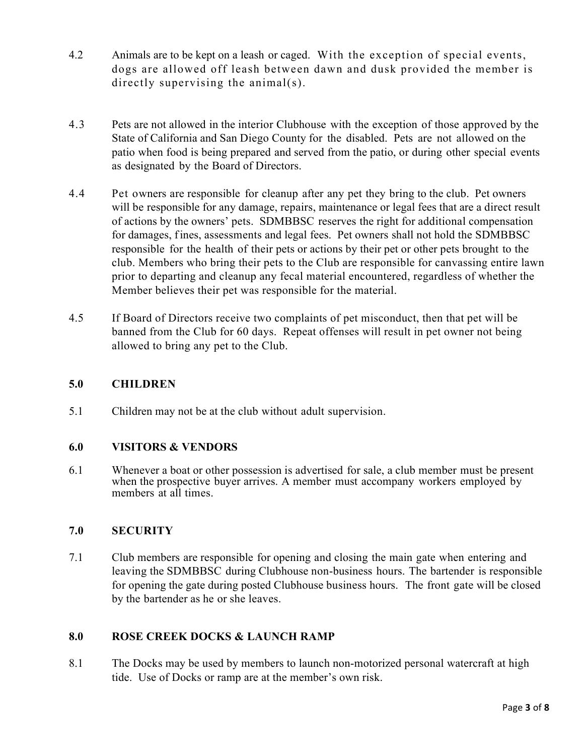- 4.2 Animals are to be kept on a leash or caged. With the exception of special events, dogs are allowed off leash between dawn and dusk provided the member is directly supervising the animal(s).
- 4.3 Pets are not allowed in the interior Clubhouse with the exception of those approved by the State of California and San Diego County for the disabled. Pets are not allowed on the patio when food is being prepared and served from the patio, or during other special events as designated by the Board of Directors.
- 4.4 Pet owners are responsible for cleanup after any pet they bring to the club. Pet owners will be responsible for any damage, repairs, maintenance or legal fees that are a direct result of actions by the owners' pets. SDMBBSC reserves the right for additional compensation for damages, fines, assessments and legal fees. Pet owners shall not hold the SDMBBSC responsible for the health of their pets or actions by their pet or other pets brought to the club. Members who bring their pets to the Club are responsible for canvassing entire lawn prior to departing and cleanup any fecal material encountered, regardless of whether the Member believes their pet was responsible for the material.
- 4.5 If Board of Directors receive two complaints of pet misconduct, then that pet will be banned from the Club for 60 days. Repeat offenses will result in pet owner not being allowed to bring any pet to the Club.

### **5.0 CHILDREN**

5.1 Children may not be at the club without adult supervision.

## **6.0 VISITORS & VENDORS**

6.1 Whenever a boat or other possession is advertised for sale, a club member must be present when the prospective buyer arrives. A member must accompany workers employed by members at all times.

## **7.0 SECURITY**

7.1 Club members are responsible for opening and closing the main gate when entering and leaving the SDMBBSC during Clubhouse non-business hours. The bartender is responsible for opening the gate during posted Clubhouse business hours. The front gate will be closed by the bartender as he or she leaves.

## **8.0 ROSE CREEK DOCKS & LAUNCH RAMP**

8.1 The Docks may be used by members to launch non-motorized personal watercraft at high tide. Use of Docks or ramp are at the member's own risk.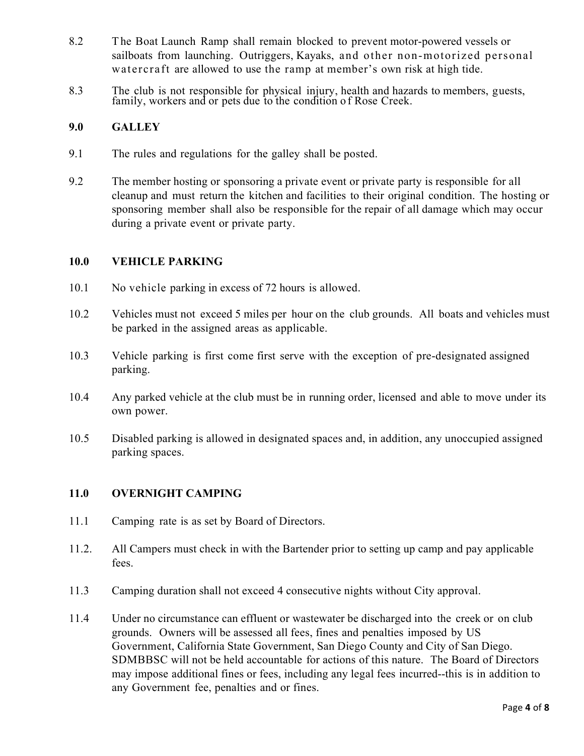- 8.2 The Boat Launch Ramp shall remain blocked to prevent motor-powered vessels or sailboats from launching. Outriggers, Kayaks, and other non-motorized personal watercraft are allowed to use the ramp at member's own risk at high tide.
- 8.3 The club is not responsible for physical injury, health and hazards to members, guests, family, workers and or pets due to the condition o f Rose Creek.

#### **9.0 GALLEY**

- 9.1 The rules and regulations for the galley shall be posted.
- 9.2 The member hosting or sponsoring a private event or private party is responsible for all cleanup and must return the kitchen and facilities to their original condition. The hosting or sponsoring member shall also be responsible for the repair of all damage which may occur during a private event or private party.

## **10.0 VEHICLE PARKING**

- 10.1 No vehicle parking in excess of 72 hours is allowed.
- 10.2 Vehicles must not exceed 5 miles per hour on the club grounds. All boats and vehicles must be parked in the assigned areas as applicable.
- 10.3 Vehicle parking is first come first serve with the exception of pre-designated assigned parking.
- 10.4 Any parked vehicle at the club must be in running order, licensed and able to move under its own power.
- 10.5 Disabled parking is allowed in designated spaces and, in addition, any unoccupied assigned parking spaces.

## **11.0 OVERNIGHT CAMPING**

- 11.1 Camping rate is as set by Board of Directors.
- 11.2. All Campers must check in with the Bartender prior to setting up camp and pay applicable fees.
- 11.3 Camping duration shall not exceed 4 consecutive nights without City approval.
- 11.4 Under no circumstance can effluent or wastewater be discharged into the creek or on club grounds. Owners will be assessed all fees, fines and penalties imposed by US Government, California State Government, San Diego County and City of San Diego. SDMBBSC will not be held accountable for actions of this nature. The Board of Directors may impose additional fines or fees, including any legal fees incurred--this is in addition to any Government fee, penalties and or fines.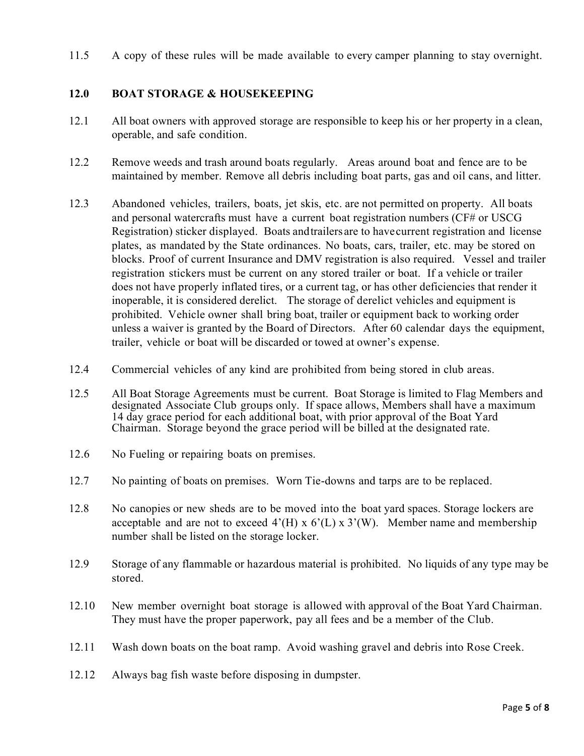11.5 A copy of these rules will be made available to every camper planning to stay overnight.

### **12.0 BOAT STORAGE & HOUSEKEEPING**

- 12.1 All boat owners with approved storage are responsible to keep his or her property in a clean, operable, and safe condition.
- 12.2 Remove weeds and trash around boats regularly. Areas around boat and fence are to be maintained by member. Remove all debris including boat parts, gas and oil cans, and litter.
- 12.3 Abandoned vehicles, trailers, boats, jet skis, etc. are not permitted on property. All boats and personal watercrafts must have a current boat registration numbers (CF# or USCG Registration) sticker displayed. Boats andtrailers are to havecurrent registration and license plates, as mandated by the State ordinances. No boats, cars, trailer, etc. may be stored on blocks. Proof of current Insurance and DMV registration is also required. Vessel and trailer registration stickers must be current on any stored trailer or boat. If a vehicle or trailer does not have properly inflated tires, or a current tag, or has other deficiencies that render it inoperable, it is considered derelict. The storage of derelict vehicles and equipment is prohibited. Vehicle owner shall bring boat, trailer or equipment back to working order unless a waiver is granted by the Board of Directors. After 60 calendar days the equipment, trailer, vehicle or boat will be discarded or towed at owner's expense.
- 12.4 Commercial vehicles of any kind are prohibited from being stored in club areas.
- 12.5 All Boat Storage Agreements must be current. Boat Storage is limited to Flag Members and designated Associate Club groups only. If space allows, Members shall have a maximum 14 day grace period for each additional boat, with prior approval of the Boat Yard Chairman. Storage beyond the grace period will be billed at the designated rate.
- 12.6 No Fueling or repairing boats on premises.
- 12.7 No painting of boats on premises. Worn Tie-downs and tarps are to be replaced.
- 12.8 No canopies or new sheds are to be moved into the boat yard spaces. Storage lockers are acceptable and are not to exceed  $4'(H) \times 6'(L) \times 3'(W)$ . Member name and membership number shall be listed on the storage locker.
- 12.9 Storage of any flammable or hazardous material is prohibited. No liquids of any type may be stored.
- 12.10 New member overnight boat storage is allowed with approval of the Boat Yard Chairman. They must have the proper paperwork, pay all fees and be a member of the Club.
- 12.11 Wash down boats on the boat ramp. Avoid washing gravel and debris into Rose Creek.
- 12.12 Always bag fish waste before disposing in dumpster.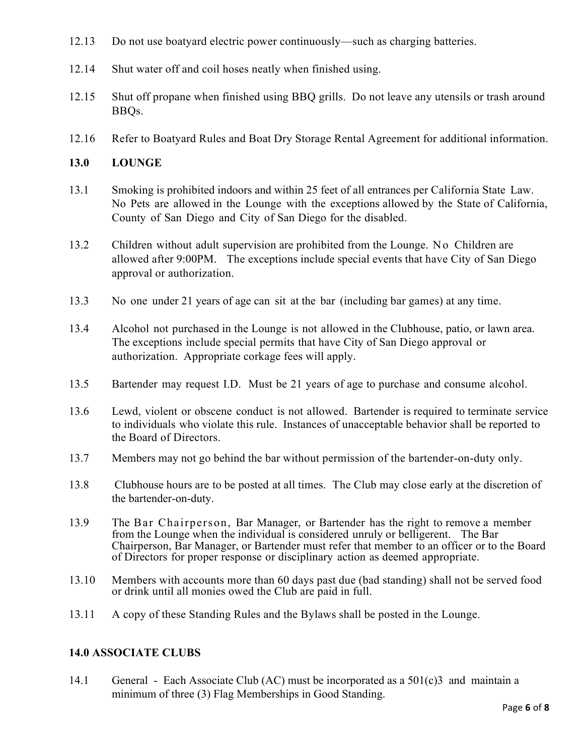- 12.13 Do not use boatyard electric power continuously—such as charging batteries.
- 12.14 Shut water off and coil hoses neatly when finished using.
- 12.15 Shut off propane when finished using BBQ grills. Do not leave any utensils or trash around BBQs.
- 12.16 Refer to Boatyard Rules and Boat Dry Storage Rental Agreement for additional information.

## **13.0 LOUNGE**

- 13.1 Smoking is prohibited indoors and within 25 feet of all entrances per California State Law. No Pets are allowed in the Lounge with the exceptions allowed by the State of California, County of San Diego and City of San Diego for the disabled.
- 13.2 Children without adult supervision are prohibited from the Lounge. No Children are allowed after 9:00PM. The exceptions include special events that have City of San Diego approval or authorization.
- 13.3 No one under 21 years of age can sit at the bar (including bar games) at any time.
- 13.4 Alcohol not purchased in the Lounge is not allowed in the Clubhouse, patio, or lawn area. The exceptions include special permits that have City of San Diego approval or authorization. Appropriate corkage fees will apply.
- 13.5 Bartender may request I.D. Must be 21 years of age to purchase and consume alcohol.
- 13.6 Lewd, violent or obscene conduct is not allowed. Bartender is required to terminate service to individuals who violate this rule. Instances of unacceptable behavior shall be reported to the Board of Directors.
- 13.7 Members may not go behind the bar without permission of the bartender-on-duty only.
- 13.8 Clubhouse hours are to be posted at all times. The Club may close early at the discretion of the bartender-on-duty.
- 13.9 The Bar Chairperson, Bar Manager, or Bartender has the right to remove a member from the Lounge when the individual is considered unruly or belligerent. The Bar Chairperson, Bar Manager, or Bartender must refer that member to an officer or to the Board of Directors for proper response or disciplinary action as deemed appropriate.
- 13.10 Members with accounts more than 60 days past due (bad standing) shall not be served food or drink until all monies owed the Club are paid in full.
- 13.11 A copy of these Standing Rules and the Bylaws shall be posted in the Lounge.

## **14.0 ASSOCIATE CLUBS**

14.1 General - Each Associate Club (AC) must be incorporated as a 501(c)3 and maintain a minimum of three (3) Flag Memberships in Good Standing.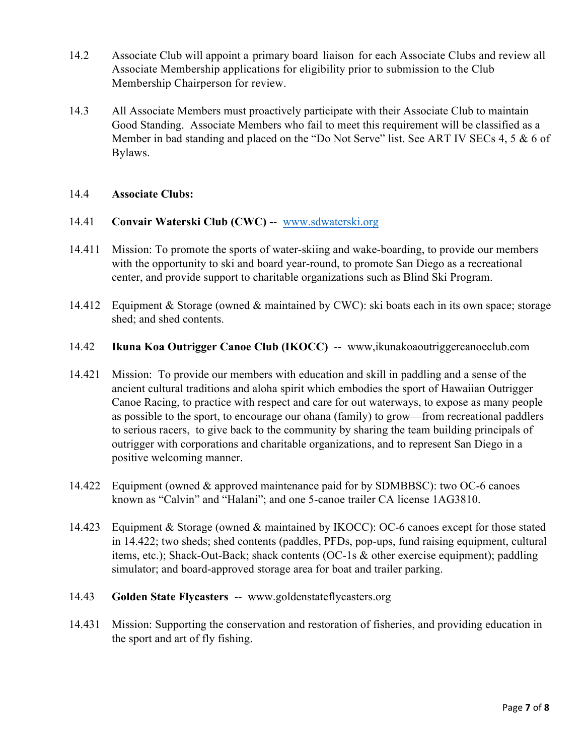- 14.2 Associate Club will appoint a primary board liaison for each Associate Clubs and review all Associate Membership applications for eligibility prior to submission to the Club Membership Chairperson for review.
- 14.3 All Associate Members must proactively participate with their Associate Club to maintain Good Standing. Associate Members who fail to meet this requirement will be classified as a Member in bad standing and placed on the "Do Not Serve" list. See ART IV SECs 4, 5 & 6 of Bylaws.

## 14.4 **Associate Clubs:**

#### 14.41 **Convair Waterski Club (CWC) -**- www.sdwaterski.org

- 14.411 Mission: To promote the sports of water-skiing and wake-boarding, to provide our members with the opportunity to ski and board year-round, to promote San Diego as a recreational center, and provide support to charitable organizations such as Blind Ski Program.
- 14.412 Equipment & Storage (owned & maintained by CWC): ski boats each in its own space; storage shed; and shed contents.
- 14.42 **Ikuna Koa Outrigger Canoe Club (IKOCC)** -- www,ikunakoaoutriggercanoeclub.com
- 14.421 Mission: To provide our members with education and skill in paddling and a sense of the ancient cultural traditions and aloha spirit which embodies the sport of Hawaiian Outrigger Canoe Racing, to practice with respect and care for out waterways, to expose as many people as possible to the sport, to encourage our ohana (family) to grow—from recreational paddlers to serious racers, to give back to the community by sharing the team building principals of outrigger with corporations and charitable organizations, and to represent San Diego in a positive welcoming manner.
- 14.422 Equipment (owned & approved maintenance paid for by SDMBBSC): two OC-6 canoes known as "Calvin" and "Halani"; and one 5-canoe trailer CA license 1AG3810.
- 14.423 Equipment & Storage (owned & maintained by IKOCC): OC-6 canoes except for those stated in 14.422; two sheds; shed contents (paddles, PFDs, pop-ups, fund raising equipment, cultural items, etc.); Shack-Out-Back; shack contents (OC-1s & other exercise equipment); paddling simulator; and board-approved storage area for boat and trailer parking.
- 14.43 **Golden State Flycasters** -- www.goldenstateflycasters.org
- 14.431 Mission: Supporting the conservation and restoration of fisheries, and providing education in the sport and art of fly fishing.